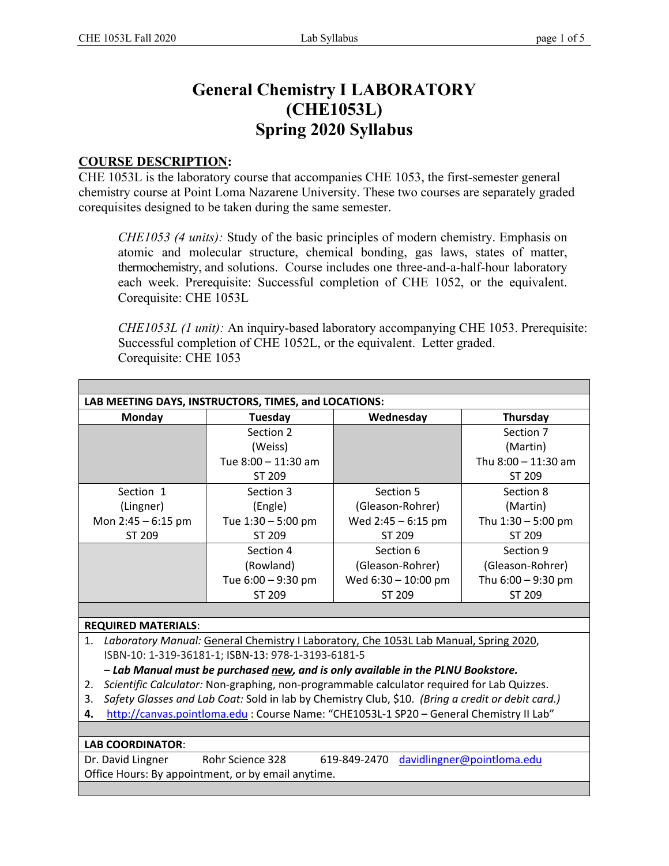# **General Chemistry I LABORATORY (CHE1053L) Spring 2020 Syllabus**

#### **COURSE DESCRIPTION:**

CHE 1053L is the laboratory course that accompanies CHE 1053, the first-semester general chemistry course at Point Loma Nazarene University. These two courses are separately graded corequisites designed to be taken during the same semester.

*CHE1053 (4 units):* Study of the basic principles of modern chemistry. Emphasis on atomic and molecular structure, chemical bonding, gas laws, states of matter, thermochemistry, and solutions. Course includes one three-and-a-half-hour laboratory each week. Prerequisite: Successful completion of CHE 1052, or the equivalent. Corequisite: CHE 1053L

*CHE1053L (1 unit):* An inquiry-based laboratory accompanying CHE 1053. Prerequisite: Successful completion of CHE 1052L, or the equivalent. Letter graded. Corequisite: CHE 1053

| Monday                                                                                                  | Tuesday              | Wednesday                                                                             | Thursday              |  |  |
|---------------------------------------------------------------------------------------------------------|----------------------|---------------------------------------------------------------------------------------|-----------------------|--|--|
|                                                                                                         | Section 2            |                                                                                       | Section 7             |  |  |
|                                                                                                         | (Weiss)              |                                                                                       | (Martin)              |  |  |
|                                                                                                         | Tue 8:00 - 11:30 am  |                                                                                       | Thu $8:00 - 11:30$ am |  |  |
|                                                                                                         | ST 209               |                                                                                       | ST 209                |  |  |
| Section 1                                                                                               | Section 3            | Section 5                                                                             | Section 8             |  |  |
| (Lingner)                                                                                               | (Engle)              | (Gleason-Rohrer)                                                                      | (Martin)              |  |  |
| Mon $2:45 - 6:15$ pm                                                                                    | Tue $1:30 - 5:00$ pm | Wed $2:45 - 6:15$ pm                                                                  | Thu $1:30 - 5:00$ pm  |  |  |
| ST 209                                                                                                  | ST 209               | ST 209                                                                                | ST 209                |  |  |
|                                                                                                         | Section 4            | Section 6                                                                             | Section 9             |  |  |
|                                                                                                         | (Rowland)            | (Gleason-Rohrer)                                                                      | (Gleason-Rohrer)      |  |  |
|                                                                                                         | Tue 6:00 - 9:30 pm   | Wed 6:30 - 10:00 pm                                                                   | Thu 6:00 - 9:30 pm    |  |  |
|                                                                                                         | ST 209               | ST 209                                                                                | ST 209                |  |  |
|                                                                                                         |                      |                                                                                       |                       |  |  |
| <b>REQUIRED MATERIALS:</b>                                                                              |                      |                                                                                       |                       |  |  |
| 1.                                                                                                      |                      | Laboratory Manual: General Chemistry I Laboratory, Che 1053L Lab Manual, Spring 2020, |                       |  |  |
| ISBN-10: 1-319-36181-1; ISBN-13: 978-1-3193-6181-5                                                      |                      |                                                                                       |                       |  |  |
|                                                                                                         |                      | - Lab Manual must be purchased new, and is only available in the PLNU Bookstore.      |                       |  |  |
| Scientific Calculator: Non-graphing, non-programmable calculator required for Lab Quizzes.<br>2.        |                      |                                                                                       |                       |  |  |
| Safety Glasses and Lab Coat: Sold in lab by Chemistry Club, \$10. (Bring a credit or debit card.)<br>3. |                      |                                                                                       |                       |  |  |
| http://canvas.pointloma.edu : Course Name: "CHE1053L-1 SP20 - General Chemistry II Lab"<br>4.           |                      |                                                                                       |                       |  |  |
|                                                                                                         |                      |                                                                                       |                       |  |  |
| <b>LAB COORDINATOR:</b>                                                                                 |                      |                                                                                       |                       |  |  |
| Rohr Science 328<br>619-849-2470<br>davidlingner@pointloma.edu<br>Dr. David Lingner                     |                      |                                                                                       |                       |  |  |
| Office Hours: By appointment, or by email anytime.                                                      |                      |                                                                                       |                       |  |  |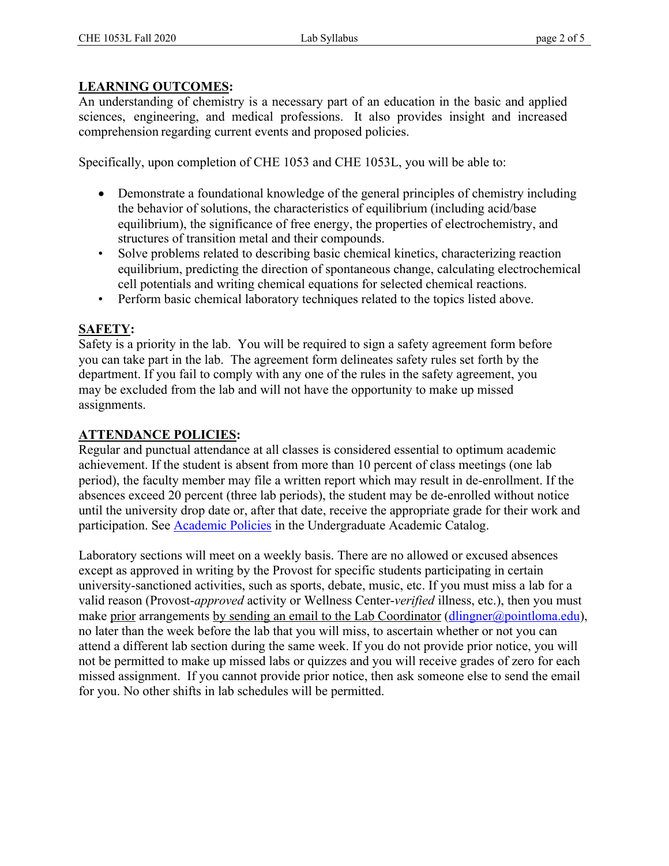### **LEARNING OUTCOMES:**

An understanding of chemistry is a necessary part of an education in the basic and applied sciences, engineering, and medical professions. It also provides insight and increased comprehension regarding current events and proposed policies.

Specifically, upon completion of CHE 1053 and CHE 1053L, you will be able to:

- Demonstrate a foundational knowledge of the general principles of chemistry including the behavior of solutions, the characteristics of equilibrium (including acid/base equilibrium), the significance of free energy, the properties of electrochemistry, and structures of transition metal and their compounds.
- Solve problems related to describing basic chemical kinetics, characterizing reaction equilibrium, predicting the direction of spontaneous change, calculating electrochemical cell potentials and writing chemical equations for selected chemical reactions.
- Perform basic chemical laboratory techniques related to the topics listed above.

## **SAFETY:**

Safety is a priority in the lab. You will be required to sign a safety agreement form before you can take part in the lab. The agreement form delineates safety rules set forth by the department. If you fail to comply with any one of the rules in the safety agreement, you may be excluded from the lab and will not have the opportunity to make up missed assignments.

## **ATTENDANCE POLICIES:**

Regular and punctual attendance at all classes is considered essential to optimum academic achievement. If the student is absent from more than 10 percent of class meetings (one lab period), the faculty member may file a written report which may result in de-enrollment. If the absences exceed 20 percent (three lab periods), the student may be de-enrolled without notice until the university drop date or, after that date, receive the appropriate grade for their work and participation. See **Academic Policies** in the Undergraduate Academic Catalog.

Laboratory sections will meet on a weekly basis. There are no allowed or excused absences except as approved in writing by the Provost for specific students participating in certain university-sanctioned activities, such as sports, debate, music, etc. If you must miss a lab for a valid reason (Provost-*approved* activity or Wellness Center-*verified* illness, etc.), then you must make prior arrangements by sending an email to the Lab Coordinator (dlingner@pointloma.edu), no later than the week before the lab that you will miss, to ascertain whether or not you can attend a different lab section during the same week. If you do not provide prior notice, you will not be permitted to make up missed labs or quizzes and you will receive grades of zero for each missed assignment. If you cannot provide prior notice, then ask someone else to send the email for you. No other shifts in lab schedules will be permitted.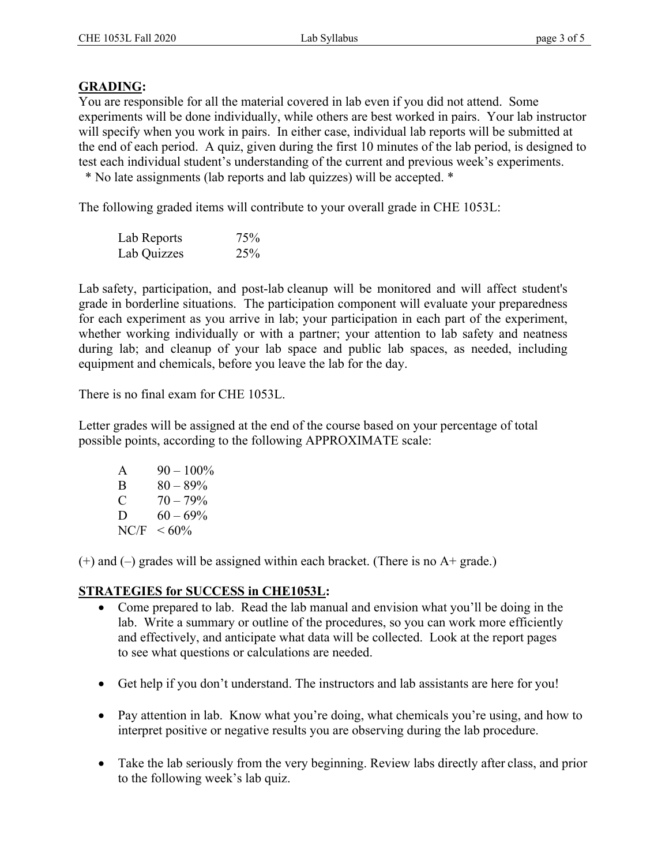#### **GRADING:**

You are responsible for all the material covered in lab even if you did not attend. Some experiments will be done individually, while others are best worked in pairs. Your lab instructor will specify when you work in pairs. In either case, individual lab reports will be submitted at the end of each period. A quiz, given during the first 10 minutes of the lab period, is designed to test each individual student's understanding of the current and previous week's experiments.

\* No late assignments (lab reports and lab quizzes) will be accepted. \*

The following graded items will contribute to your overall grade in CHE 1053L:

| Lab Reports | 75% |
|-------------|-----|
| Lab Quizzes | 25% |

Lab safety, participation, and post-lab cleanup will be monitored and will affect student's grade in borderline situations. The participation component will evaluate your preparedness for each experiment as you arrive in lab; your participation in each part of the experiment, whether working individually or with a partner; your attention to lab safety and neatness during lab; and cleanup of your lab space and public lab spaces, as needed, including equipment and chemicals, before you leave the lab for the day.

There is no final exam for CHE 1053L.

Letter grades will be assigned at the end of the course based on your percentage of total possible points, according to the following APPROXIMATE scale:

| A    | $90 - 100\%$ |
|------|--------------|
| B    | $80 - 89\%$  |
| C    | $70 - 79\%$  |
| D    | $60 - 69\%$  |
| NC/F | $<60\%$      |

 $(+)$  and  $(-)$  grades will be assigned within each bracket. (There is no A+ grade.)

### **STRATEGIES for SUCCESS in CHE1053L:**

- Come prepared to lab. Read the lab manual and envision what you'll be doing in the lab. Write a summary or outline of the procedures, so you can work more efficiently and effectively, and anticipate what data will be collected. Look at the report pages to see what questions or calculations are needed.
- Get help if you don't understand. The instructors and lab assistants are here for you!
- Pay attention in lab. Know what you're doing, what chemicals you're using, and how to interpret positive or negative results you are observing during the lab procedure.
- Take the lab seriously from the very beginning. Review labs directly after class, and prior to the following week's lab quiz.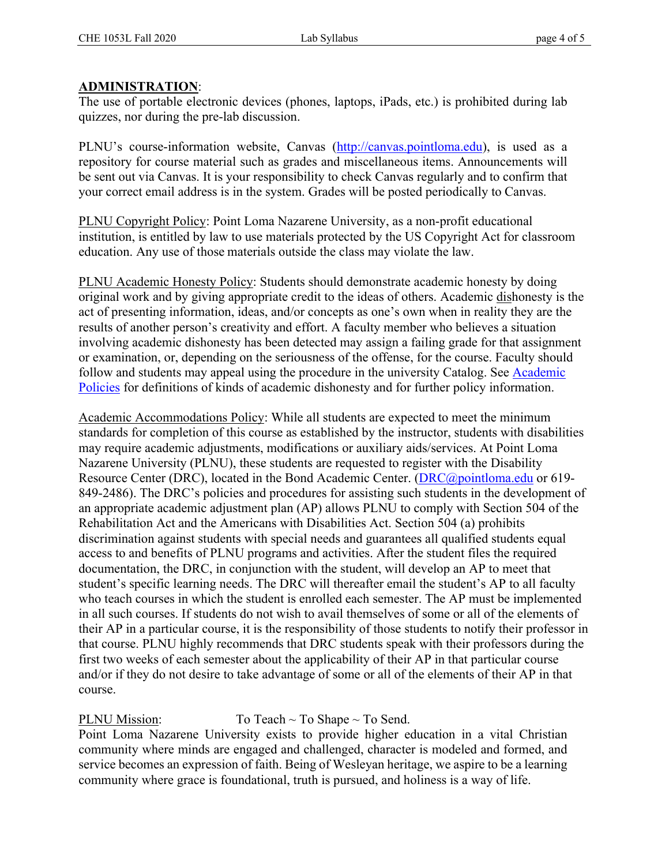#### **ADMINISTRATION**:

The use of portable electronic devices (phones, laptops, iPads, etc.) is prohibited during lab quizzes, nor during the pre-lab discussion.

PLNU's course-information website, Canvas (http://canvas.pointloma.edu), is used as a repository for course material such as grades and miscellaneous items. Announcements will be sent out via Canvas. It is your responsibility to check Canvas regularly and to confirm that your correct email address is in the system. Grades will be posted periodically to Canvas.

PLNU Copyright Policy: Point Loma Nazarene University, as a non-profit educational institution, is entitled by law to use materials protected by the US Copyright Act for classroom education. Any use of those materials outside the class may violate the law.

PLNU Academic Honesty Policy: Students should demonstrate academic honesty by doing original work and by giving appropriate credit to the ideas of others. Academic dishonesty is the act of presenting information, ideas, and/or concepts as one's own when in reality they are the results of another person's creativity and effort. A faculty member who believes a situation involving academic dishonesty has been detected may assign a failing grade for that assignment or examination, or, depending on the seriousness of the offense, for the course. Faculty should follow and students may appeal using the procedure in the university Catalog. See Academic Policies for definitions of kinds of academic dishonesty and for further policy information.

Academic Accommodations Policy: While all students are expected to meet the minimum standards for completion of this course as established by the instructor, students with disabilities may require academic adjustments, modifications or auxiliary aids/services. At Point Loma Nazarene University (PLNU), these students are requested to register with the Disability Resource Center (DRC), located in the Bond Academic Center. (DRC@pointloma.edu or 619- 849-2486). The DRC's policies and procedures for assisting such students in the development of an appropriate academic adjustment plan (AP) allows PLNU to comply with Section 504 of the Rehabilitation Act and the Americans with Disabilities Act. Section 504 (a) prohibits discrimination against students with special needs and guarantees all qualified students equal access to and benefits of PLNU programs and activities. After the student files the required documentation, the DRC, in conjunction with the student, will develop an AP to meet that student's specific learning needs. The DRC will thereafter email the student's AP to all faculty who teach courses in which the student is enrolled each semester. The AP must be implemented in all such courses. If students do not wish to avail themselves of some or all of the elements of their AP in a particular course, it is the responsibility of those students to notify their professor in that course. PLNU highly recommends that DRC students speak with their professors during the first two weeks of each semester about the applicability of their AP in that particular course and/or if they do not desire to take advantage of some or all of the elements of their AP in that course.

PLNU Mission:  $T_0$  Teach ~ To Shape ~ To Send. Point Loma Nazarene University exists to provide higher education in a vital Christian community where minds are engaged and challenged, character is modeled and formed, and service becomes an expression of faith. Being of Wesleyan heritage, we aspire to be a learning community where grace is foundational, truth is pursued, and holiness is a way of life.